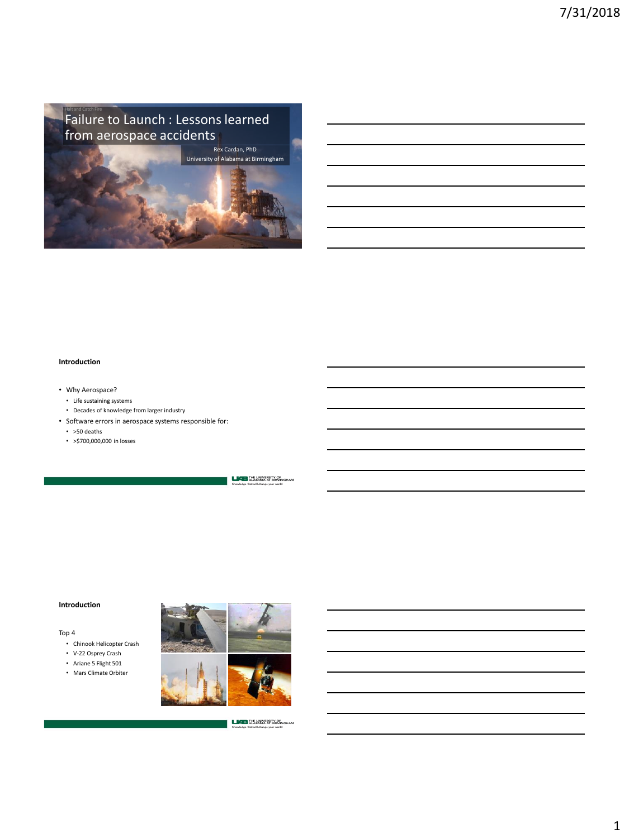**Failure to Launch : Lessons learned** from aerospace accidents



## **Introduction**

- Why Aerospace?
- Life sustaining systems
- Decades of knowledge from larger industry
- Software errors in aerospace systems responsible for:
	- >50 deaths
	- >\$700,000,000 in losses

**LICE THE UNIVERSITY OF INTERNATIONAL AT BIRMINGHAM** 

### **Introduction**

Top 4

- Chinook Helicopter Crash
- V-22 Osprey Crash
- Ariane 5 Flight 501
- Mars Climate Orbiter



**LACE THE UNIVERSITY OF**<br>**Kompleting ALABANA AT BIRMINGHAM**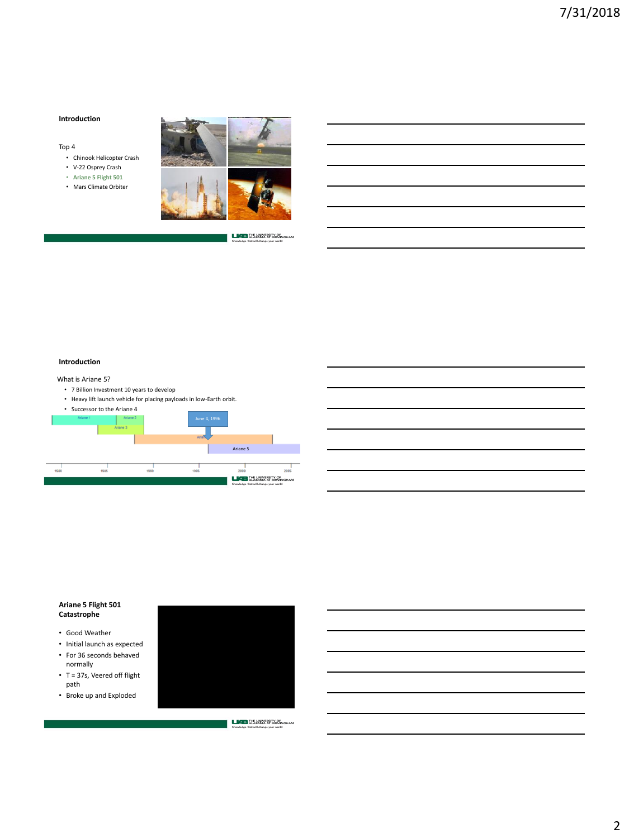### **Introduction**

#### Top 4

- Chinook Helicopter Crash
- V-22 Osprey Crash
- **Ariane 5 Flight 501**
- Mars Climate Orbiter



**LAB THE UNIVERSITY OF** 

#### **Introduction**

### What is Ariane 5?

- 7 Billion Investment 10 years to develop
- Heavy lift launch vehicle for placing payloads in low-Earth orbit.



# **Ariane 5 Flight 501 Catastrophe**

- Good Weather
- Initial launch as expected • For 36 seconds behaved
- normally • T = 37s, Veered off flight
- path • Broke up and Exploded



**LEADER THE UNIVERSITY OF LEADERMAN**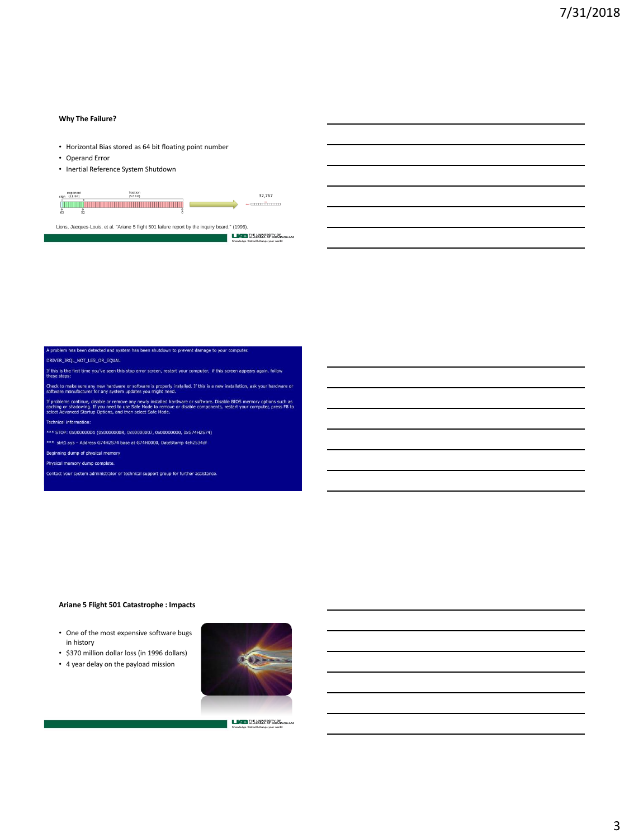### **Why The Failure?**

- Horizontal Bias stored as 64 bit floating point number
- Operand Error
- Inertial Reference System Shutdown



s been detected and system has been shutdown to prevent damage to your comput

- DRIVER\_IRQL\_NOT\_LES\_OR\_EQUAL
- If this is the first time you've seen this stop error screen, restart your computer, if this screen appears again, follow<br>these stens:

.<br>ke sure any new hardware or software is properly installed. If this is a new installation, ask your hardware or<br>nufacturer for any system updates you might need.

ms continue, disable or remove any newly installed hardware or software. Disable BIOS memory options such as<br>or shadowing. If you need to use Safe Mode to remove or disable components, restart your computer, press F8 to<br>va f pro

echnical information:

- \*\*\* STOP: 0x000000D1 (0x0000000R, 0x00000007, 0x00000000, 0xG74H2S74)
- \*\*\* strt1.sys Address G74H2S74 base at G74H0000, DateStamp 4eh2534df
- Beginning dump of physical memory
- hysical memory dump complete.

.<br>Contact your system administrator or technical support group for further assistance.

# **Ariane 5 Flight 501 Catastrophe : Impacts**

- One of the most expensive software bugs in history
- \$370 million dollar loss (in 1996 dollars)
- 4 year delay on the payload mission



**LACE THE UNIVERSITY OF**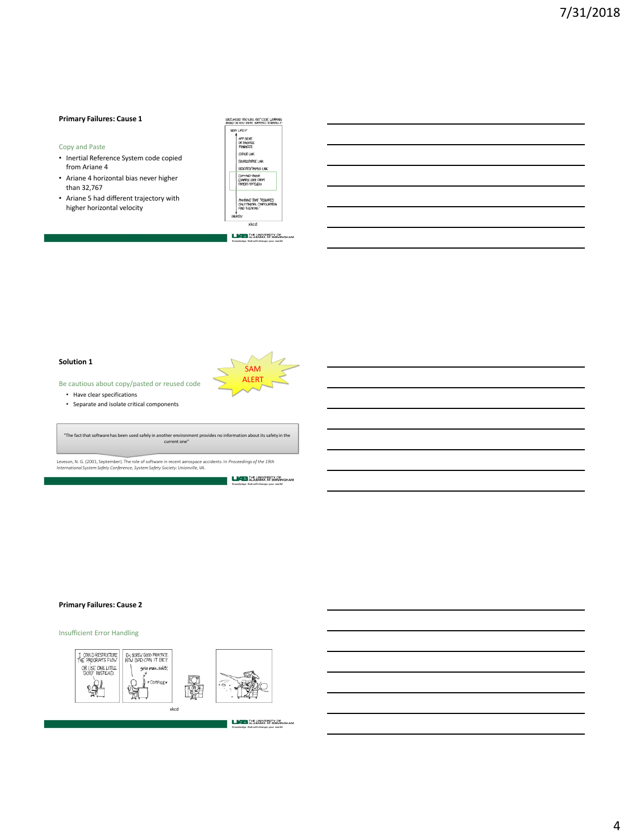### **Primary Failures: Cause 1**

#### Copy and Paste

- Inertial Reference System code copied from Ariane 4
- Ariane 4 horizontal bias never higher than 32,767
- Ariane 5 had different trajectory with higher horizontal velocity

| LIKELHOOD YOU WILL GET CODE WORKING<br>RIVATO ON HOU YOURS' SUPPOSED TO INSTITUTE                    |
|------------------------------------------------------------------------------------------------------|
| VERY LIKELY                                                                                          |
| <b>APP SIDRE</b><br>OR PROGREE<br>MARGER<br><b>GIFLIBLINK</b><br>SOURCERORSE LINK                    |
| GEDOTES/TRIPDO LINK                                                                                  |
| COPY-RAID-ROSIE<br>EVANDLE COOF EROPT<br><b>PAPER'S AFPENDIX</b>                                     |
| ANYTHING THAT TREQUIRES<br>ONLY MINIMAL CONFIGURATION<br><b>PAID TUFPKING</b> *<br><b>LINE IKEEY</b> |

**LABORATE UNIVERSITY OF** 

xkcd

SAM ALERT

### **Solution 1**

Be cautious about copy/pasted or reused code • Have clear specifications

• Separate and isolate critical components

"The fact that software has been used safely in another environment provides no information about its safety in the current one"

Leveson, N. G. (2001, September). The role of software in recent aerospace accidents. In *Proceedings of the 19th International System Safety Conference, System Safety Society: Unionville, VA*.

### **Primary Failures: Cause 2**

Insufficient Error Handling

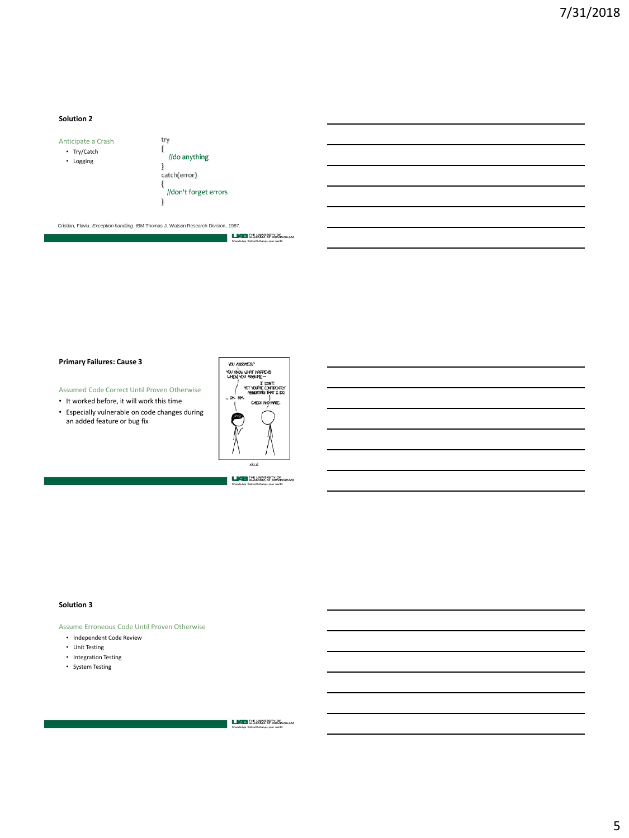## **Solution 2**



//don't forget errors

Cristian, Flaviu. *Exception handling*. IBM Thomas J. Watson Research Division, 1987.

**LAB** THE UNIVERSITY OF

### **Primary Failures: Cause 3**

Assumed Code Correct Until Proven Otherwise

- It worked before, it will work this time
- Especially vulnerable on code changes during an added feature or bug fix



**LACES** THE UNIVERSITY OF

#### **Solution 3**

Assume Erroneous Code Until Proven Otherwise

- Independent Code Review
- Unit Testing
- Integration Testing
- System Testing

**LICE THE UNIVERSITY OF**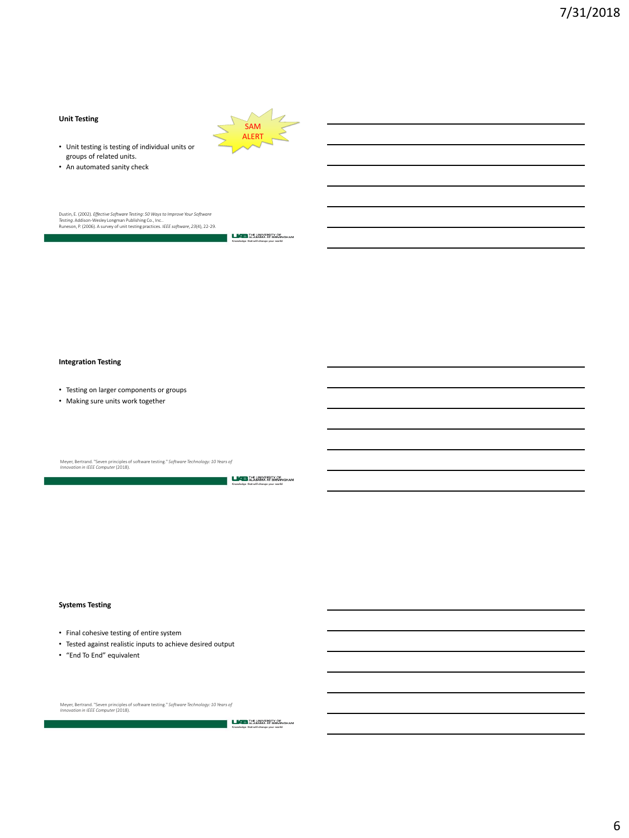# **Unit Testing**

- Unit testing is testing of individual units or groups of related units.
- An automated sanity check

Runeson, P. (2006). A survey of unit testing practices. *IEEE software*, *23*(4), 22-29. Dustin, E. (2002). *Effective Software Testing: 50 Ways to Improve Your Software Testing*. Addison-Wesley Longman Publishing Co., Inc..

**LABORATE UNIVERSITY OF** 

SAM ALERT

#### **Integration Testing**

- Testing on larger components or groups
- Making sure units work together

Meyer, Bertrand. "Seven principles of software testing." *Software Technology: 10 Years of Innovation in IEEE Computer*(2018).

**LACES** THE UNIVERSITY OF

### **Systems Testing**

- Final cohesive testing of entire system
- Tested against realistic inputs to achieve desired output
- "End To End" equivalent

Meyer, Bertrand. "Seven principles of software testing." *Software Technology: 10 Years of Innovation in IEEE Computer*(2018).

**LACES** THE UNIVERSITY OF